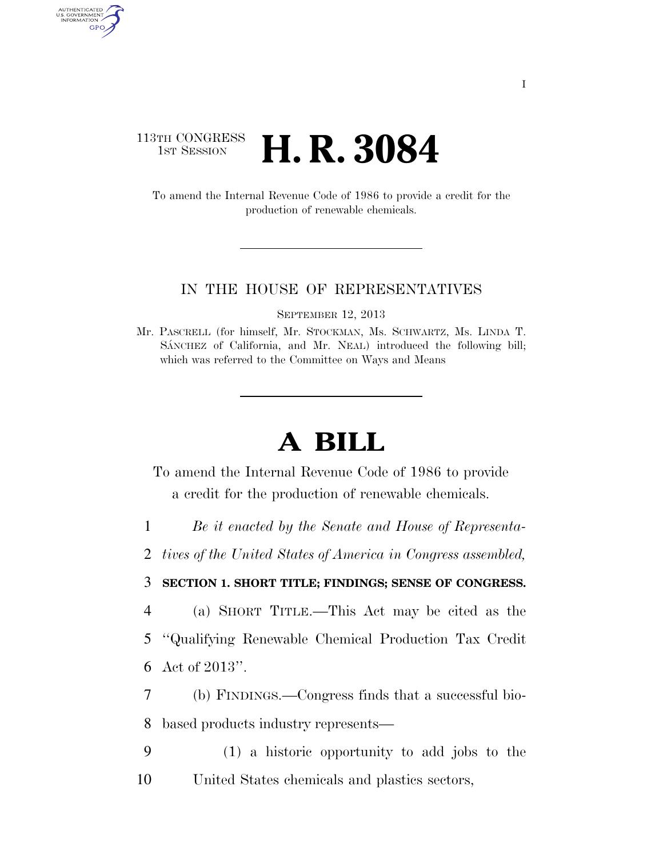## 113TH CONGRESS **1st Session H. R. 3084**

AUTHENTICATED U.S. GOVERNMENT GPO

> To amend the Internal Revenue Code of 1986 to provide a credit for the production of renewable chemicals.

## IN THE HOUSE OF REPRESENTATIVES

SEPTEMBER 12, 2013

Mr. PASCRELL (for himself, Mr. STOCKMAN, Ms. SCHWARTZ, Ms. LINDA T. SÁNCHEZ of California, and Mr. NEAL) introduced the following bill; which was referred to the Committee on Ways and Means

## **A BILL**

To amend the Internal Revenue Code of 1986 to provide a credit for the production of renewable chemicals.

1 *Be it enacted by the Senate and House of Representa-*

2 *tives of the United States of America in Congress assembled,* 

## 3 **SECTION 1. SHORT TITLE; FINDINGS; SENSE OF CONGRESS.**

4 (a) SHORT TITLE.—This Act may be cited as the

5 ''Qualifying Renewable Chemical Production Tax Credit 6 Act of 2013''.

7 (b) FINDINGS.—Congress finds that a successful bio-8 based products industry represents—

9 (1) a historic opportunity to add jobs to the 10 United States chemicals and plastics sectors,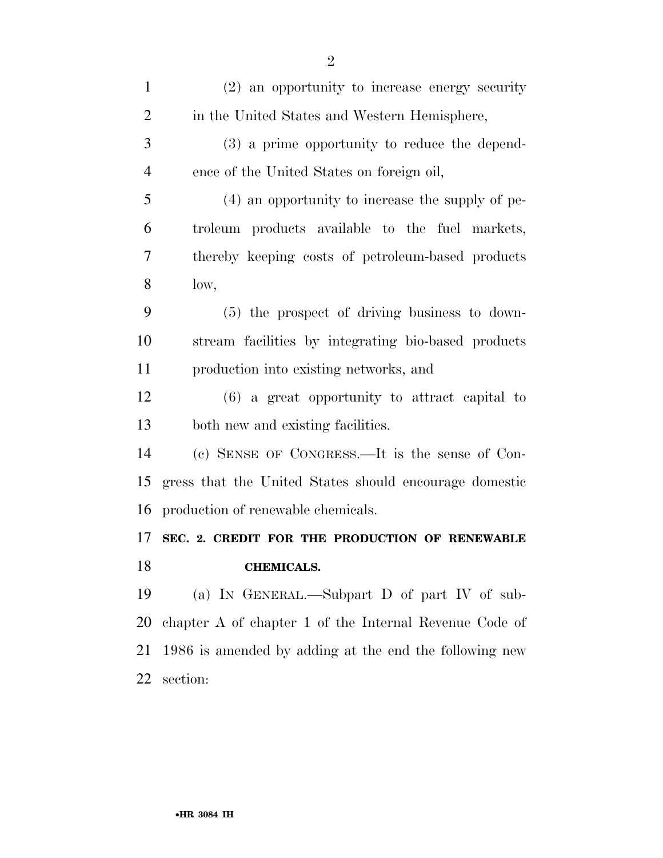| $\mathbf{1}$   | (2) an opportunity to increase energy security         |
|----------------|--------------------------------------------------------|
| $\overline{2}$ | in the United States and Western Hemisphere,           |
| 3              | (3) a prime opportunity to reduce the depend-          |
| $\overline{4}$ | ence of the United States on foreign oil,              |
| 5              | (4) an opportunity to increase the supply of pe-       |
| 6              | troleum products available to the fuel markets,        |
| 7              | thereby keeping costs of petroleum-based products      |
| 8              | low,                                                   |
| 9              | $(5)$ the prospect of driving business to down-        |
| 10             | stream facilities by integrating bio-based products    |
| 11             | production into existing networks, and                 |
| 12             | $(6)$ a great opportunity to attract capital to        |
| 13             | both new and existing facilities.                      |
| 14             | (c) SENSE OF CONGRESS.—It is the sense of Con-         |
| 15             | gress that the United States should encourage domestic |
| 16             | production of renewable chemicals.                     |
| 17             | SEC. 2. CREDIT FOR THE PRODUCTION OF RENEWABLE         |
| 18             | <b>CHEMICALS.</b>                                      |
| 19             | (a) IN GENERAL.—Subpart D of part IV of sub-           |
| 20             | chapter A of chapter 1 of the Internal Revenue Code of |
| 21             | 1986 is amended by adding at the end the following new |
| 22             | section:                                               |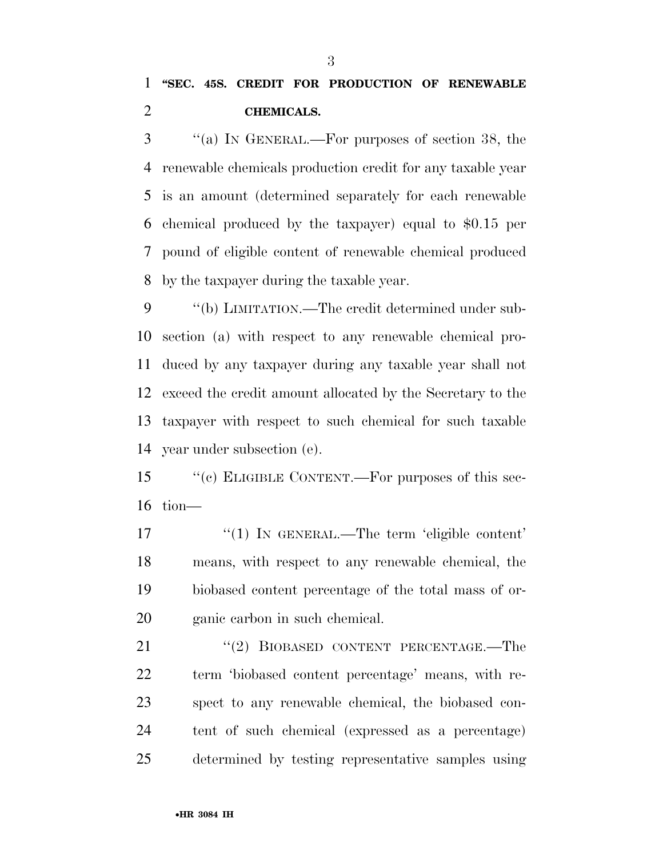''(a) IN GENERAL.—For purposes of section 38, the renewable chemicals production credit for any taxable year is an amount (determined separately for each renewable chemical produced by the taxpayer) equal to \$0.15 per pound of eligible content of renewable chemical produced by the taxpayer during the taxable year.

9 "(b) LIMITATION.—The credit determined under sub- section (a) with respect to any renewable chemical pro- duced by any taxpayer during any taxable year shall not exceed the credit amount allocated by the Secretary to the taxpayer with respect to such chemical for such taxable year under subsection (e).

 ''(c) ELIGIBLE CONTENT.—For purposes of this sec-tion—

 ''(1) IN GENERAL.—The term 'eligible content' means, with respect to any renewable chemical, the biobased content percentage of the total mass of or-ganic carbon in such chemical.

21 "(2) BIOBASED CONTENT PERCENTAGE.—The term 'biobased content percentage' means, with re- spect to any renewable chemical, the biobased con- tent of such chemical (expressed as a percentage) determined by testing representative samples using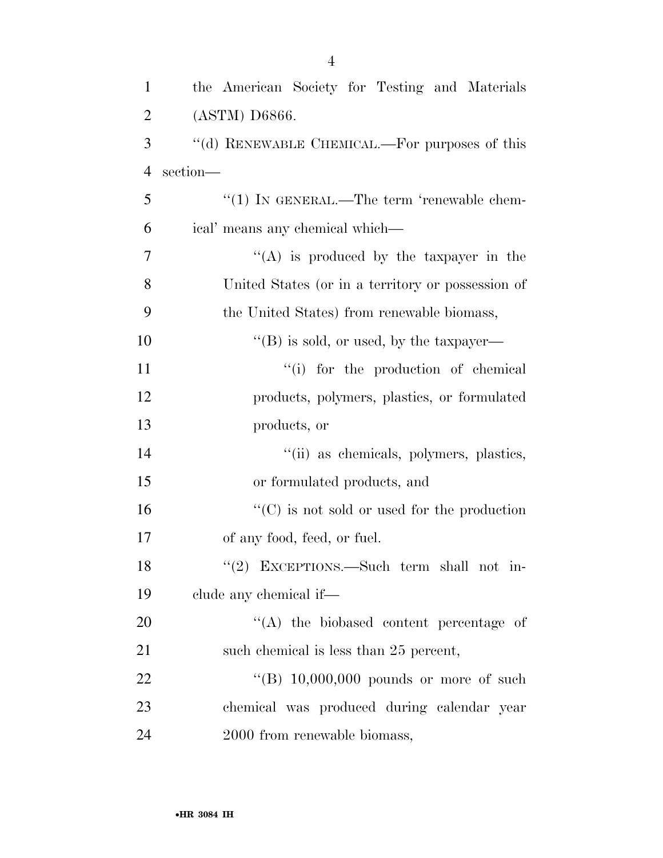| $\mathbf{1}$   | the American Society for Testing and Materials      |
|----------------|-----------------------------------------------------|
| $\overline{2}$ | (ASTM) D6866.                                       |
| 3              | "(d) RENEWABLE CHEMICAL.—For purposes of this       |
| $\overline{4}$ | section-                                            |
| 5              | $"(1)$ IN GENERAL.—The term 'renewable chem-        |
| 6              | ical' means any chemical which-                     |
| 7              | "(A) is produced by the taxpayer in the             |
| 8              | United States (or in a territory or possession of   |
| 9              | the United States) from renewable biomass,          |
| 10             | "(B) is sold, or used, by the taxpayer—             |
| 11             | "(i) for the production of chemical                 |
| 12             | products, polymers, plastics, or formulated         |
| 13             | products, or                                        |
| 14             | "(ii) as chemicals, polymers, plastics,             |
| 15             | or formulated products, and                         |
| 16             | $\lq\lq$ (C) is not sold or used for the production |
| 17             | of any food, feed, or fuel.                         |
| 18             | "(2) EXCEPTIONS.—Such term shall not in-            |
| 19             | clude any chemical if—                              |
| 20             | $\lq\lq$ the biobased content percentage of         |
| 21             | such chemical is less than 25 percent,              |
| 22             | "(B) $10,000,000$ pounds or more of such            |
| 23             | chemical was produced during calendar year          |
| 24             | 2000 from renewable biomass,                        |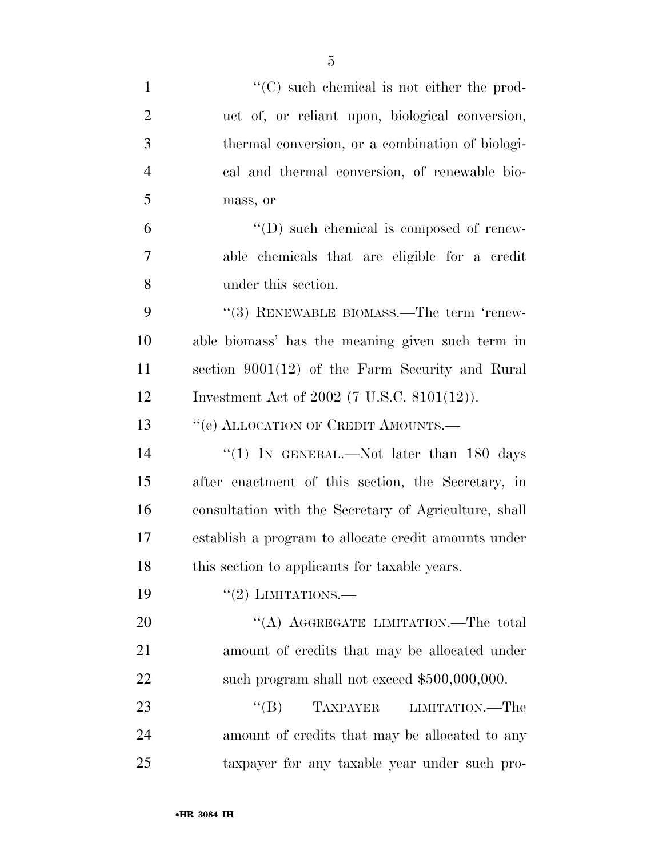| $\mathbf{1}$   | $\lq\lq$ such chemical is not either the prod-        |
|----------------|-------------------------------------------------------|
| $\overline{2}$ | uct of, or reliant upon, biological conversion,       |
| 3              | thermal conversion, or a combination of biologi-      |
| $\overline{4}$ | cal and thermal conversion, of renewable bio-         |
| 5              | mass, or                                              |
| 6              | $\lq\lq$ (D) such chemical is composed of renew-      |
| 7              | able chemicals that are eligible for a credit         |
| 8              | under this section.                                   |
| 9              | "(3) RENEWABLE BIOMASS.—The term 'renew-              |
| 10             | able biomass' has the meaning given such term in      |
| 11             | section $9001(12)$ of the Farm Security and Rural     |
| 12             | Investment Act of 2002 (7 U.S.C. 8101(12)).           |
| 13             | "(e) ALLOCATION OF CREDIT AMOUNTS.-                   |
| 14             | "(1) IN GENERAL.—Not later than 180 days              |
| 15             | after enactment of this section, the Secretary, in    |
| 16             | consultation with the Secretary of Agriculture, shall |
| 17             | establish a program to allocate credit amounts under  |
| 18             | this section to applicants for taxable years.         |
| 19             | $``(2)$ LIMITATIONS.—                                 |
| 20             | "(A) AGGREGATE LIMITATION.—The total                  |
| 21             | amount of credits that may be allocated under         |
| 22             | such program shall not exceed \$500,000,000.          |
| 23             | $\lq\lq (B)$<br>TAXPAYER<br>LIMITATION.—The           |
| 24             | amount of credits that may be allocated to any        |
| 25             | taxpayer for any taxable year under such pro-         |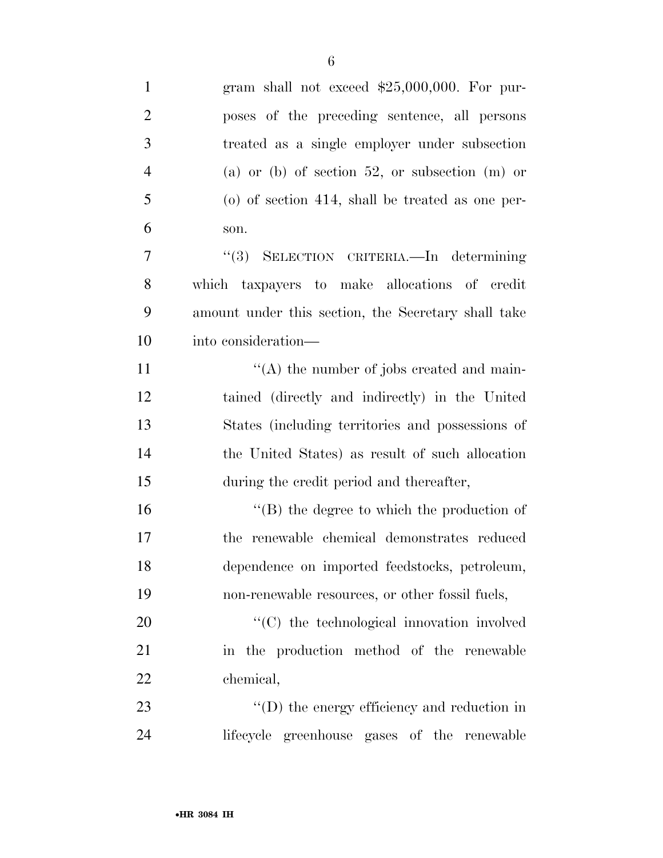| $\mathbf{1}$   | gram shall not exceed \$25,000,000. For pur-          |
|----------------|-------------------------------------------------------|
| $\overline{2}$ | poses of the preceding sentence, all persons          |
| 3              | treated as a single employer under subsection         |
| $\overline{4}$ | (a) or (b) of section 52, or subsection (m) or        |
| 5              | $\alpha$ of section 414, shall be treated as one per- |
| 6              | son.                                                  |
| 7              | "(3) SELECTION CRITERIA. In determining               |
| 8              | which taxpayers to make allocations of credit         |
| 9              | amount under this section, the Secretary shall take   |
| 10             | into consideration—                                   |
| 11             | $\lq\lq$ the number of jobs created and main-         |
| 12             | tained (directly and indirectly) in the United        |
| 13             | States (including territories and possessions of      |
| 14             | the United States) as result of such allocation       |
| 15             | during the credit period and thereafter,              |
| 16             | $\lq\lq$ the degree to which the production of        |
| 17             | the renewable chemical demonstrates reduced           |
| 18             | dependence on imported feedstocks, petroleum,         |
| 19             | non-renewable resources, or other fossil fuels,       |
| 20             | "(C) the technological innovation involved            |
| 21             | in the production method of the renewable             |
| 22             | chemical,                                             |
| 23             | $\lq\lq$ the energy efficiency and reduction in       |
| 24             | lifecycle greenhouse gases of the renewable           |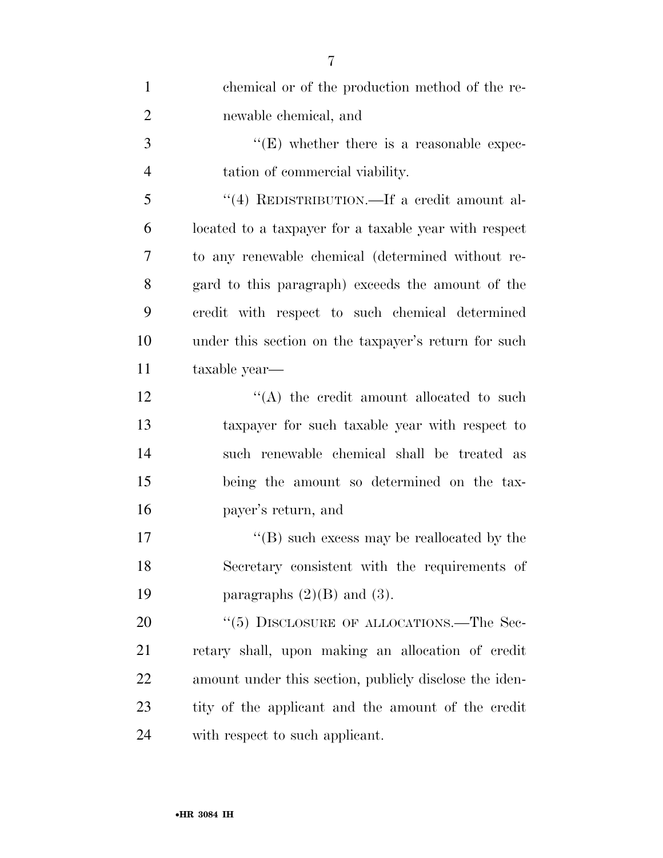| $\mathbf{1}$   | chemical or of the production method of the re-        |
|----------------|--------------------------------------------------------|
| $\overline{2}$ | newable chemical, and                                  |
| 3              | $\lq\lq(E)$ whether there is a reasonable expec-       |
| $\overline{4}$ | tation of commercial viability.                        |
| 5              | "(4) REDISTRIBUTION.—If a credit amount al-            |
| 6              | located to a taxpayer for a taxable year with respect  |
| 7              | to any renewable chemical (determined without re-      |
| 8              | gard to this paragraph) exceeds the amount of the      |
| 9              | credit with respect to such chemical determined        |
| 10             | under this section on the taxpayer's return for such   |
| 11             | taxable year—                                          |
| 12             | "(A) the credit amount allocated to such               |
| 13             | taxpayer for such taxable year with respect to         |
| 14             | such renewable chemical shall be treated as            |
| 15             | being the amount so determined on the tax-             |
| 16             | payer's return, and                                    |
| 17             | $\lq\lq (B)$ such excess may be reallocated by the     |
| 18             | Secretary consistent with the requirements of          |
| 19             | paragraphs $(2)(B)$ and $(3)$ .                        |
| 20             | "(5) DISCLOSURE OF ALLOCATIONS.—The Sec-               |
| 21             | retary shall, upon making an allocation of credit      |
| 22             | amount under this section, publicly disclose the iden- |
| 23             | tity of the applicant and the amount of the credit     |
| 24             | with respect to such applicant.                        |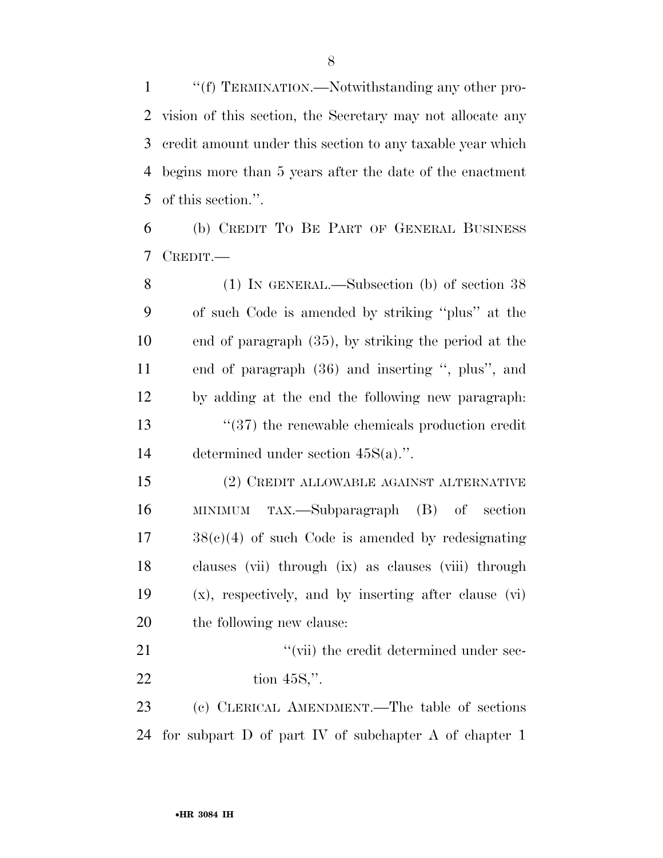''(f) TERMINATION.—Notwithstanding any other pro- vision of this section, the Secretary may not allocate any credit amount under this section to any taxable year which begins more than 5 years after the date of the enactment of this section.''.

 (b) CREDIT TO BE PART OF GENERAL BUSINESS CREDIT.—

 (1) IN GENERAL.—Subsection (b) of section 38 of such Code is amended by striking ''plus'' at the end of paragraph (35), by striking the period at the end of paragraph (36) and inserting '', plus'', and by adding at the end the following new paragraph: ''(37) the renewable chemicals production credit determined under section 45S(a).''.

 (2) CREDIT ALLOWABLE AGAINST ALTERNATIVE MINIMUM TAX.—Subparagraph (B) of section 38(c)(4) of such Code is amended by redesignating clauses (vii) through (ix) as clauses (viii) through (x), respectively, and by inserting after clause (vi) the following new clause:

21  $\gamma$  (vii) the credit determined under sec-tion 45S,''.

 (c) CLERICAL AMENDMENT.—The table of sections for subpart D of part IV of subchapter A of chapter 1